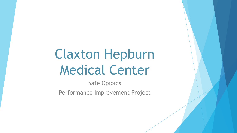# Claxton Hepburn Medical Center

Safe Opioids

Performance Improvement Project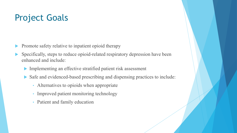### Project Goals

- Promote safety relative to inpatient opioid therapy
- Specifically, steps to reduce opioid-related respiratory depression have been enhanced and include:
	- Implementing an effective stratified patient risk assessment
	- Safe and evidenced-based prescribing and dispensing practices to include:
		- Alternatives to opioids when appropriate
		- Improved patient monitoring technology
		- Patient and family education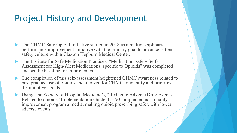#### Project History and Development

- The CHMC Safe Opioid Initiative started in 2018 as a multidisciplinary performance improvement initiative with the primary goal to advance patient safety culture within Claxton Hepburn Medical Center.
- The Institute for Safe Medication Practices, "Medication Safety Self- Assessment for High-Alert Medications, specific to Opioids" was completed and set the baseline for improvement.
- The completion of this self-assessment heightened CHMC awareness related to best practice use of opioids and allowed for CHMC to identify and prioritize the initiatives goals.
- ▶ Using The Society of Hospital Medicine's, "Reducing Adverse Drug Events Related to opioids" Implementation Guide, CHMC implemented a quality improvement program aimed at making opioid prescribing safer, with lower adverse events.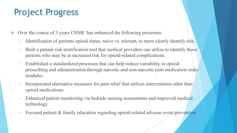### Project Progress

Over the course of 3 years CHMC has enhanced the following processes:

- Identification of patients opioid status, naive vs. tolerant, to more clearly identify risk.
- Built a patient risk stratification tool that medical providers can utilize to identify those patients who may be at increased risk for opioid-related complications.
- Established a standardized processes that can help reduce variability in opioid prescribing and administration through narcotic and non-narcotic pain medication order modules.
- Incorporated alternative measures for pain relief that utilizes interventions other than opioid medications.
- Enhanced patient monitoring via bedside nursing assessments and improved medical technology.
- Focused patient & family education regarding opioid-related adverse event prevention.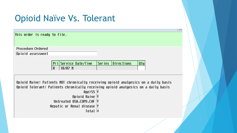## Opioid Naïve Vs. Tolerant

This order is ready to file.

Procedure Ordered

Opioid assessment

Service Date/Time  $\sqrt{\frac{2}{100}}$  Series  $\sqrt{\frac{2}{100}}$  $Q$ ty **Pri** l R.  $10/07$  N

ట

Opioid Naive: Patients NOT chronically receiving opioid analgesics on a daily basis Opioid Tolerant: Patients chronically receiving opioid analgesics on a daily basis

> $\text{Age} > 55$  |Y Opioid Naive  $\overline{Y}$ Untreated OSA, COPD, CHF Y Hepatic or Renal disease Y Total  $|4|$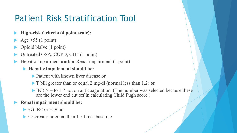## Patient Risk Stratification Tool

- **High-risk Criteria (4 point scale):**
- Age  $>55$  (1 point)
- Opioid Naïve (1 point)
- Untreated OSA, COPD, CHF (1 point)
- Hepatic impairment **and**/**or** Renal impairment (1 point)
	- **Hepatic impairment should be:** 
		- Patient with known liver disease **or**
		- T bili greater than or equal 2 mg/dl (normal less than 1.2) **or**
		- $\triangleright$  INR  $\ge$  = to 1.7 not on anticoagulation. (The number was selected because these are the lower end cut off in calculating Child Pugh score.)

#### **Renal impairment should be:**

- $\blacktriangleright$  eGFR $\le$  or  $=$  59 or
- ▶ Cr greater or equal than 1.5 times baseline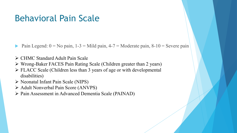#### Behavioral Pain Scale

Pain Legend:  $0 = No$  pain,  $1-3 = Mild$  pain,  $4-7 = Moderate$  pain,  $8-10 =$  Severe pain

- CHMC Standard Adult Pain Scale
- Wrong-Baker FACES Pain Rating Scale (Children greater than 2 years)
- FLACC Scale (Children less than 3 years of age or with developmental disabilities)
- Neonatal Infant Pain Scale (NIPS)
- Adult Nonverbal Pain Score (ANVPS)
- Pain Assessment in Advanced Dementia Scale (PAINAD)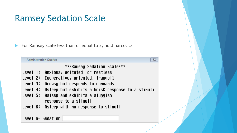#### Ramsey Sedation Scale

For Ramsey scale less than or equal to 3, hold narcotics

|          | $\Sigma$<br><b>Administration Queries</b>         |
|----------|---------------------------------------------------|
|          | ***Ramsay Sedation Scale***                       |
| Level 1: | Anxious, agitated, or restless                    |
| Level 2: | Cooperative, oriented, tranquil                   |
| Level 3: | Drowsy but responds to commands                   |
| Level 4: | Asleep but exhibits a brisk response to a stimuli |
| Level 5: | Asleep and exhibits a sluggish                    |
|          | response to a stimuli                             |
|          | Level 6: Asleep with no response to stimuli       |
|          |                                                   |
|          | Level of Sedation                                 |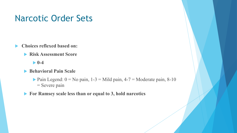#### Narcotic Order Sets

- **Choices reflexed based on:**
	- **Risk Assessment Score**
		- **0-4**
	- **Behavioral Pain Scale** 
		- Pain Legend:  $0 = No$  pain,  $1-3 = Mild$  pain,  $4-7 = Mod$ erate pain,  $8-10$ = Severe pain
	- **For Ramsey scale less than or equal to 3, hold narcotics**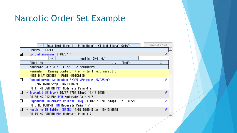#### Narcotic Order Set Example

|   | Inpatient Narcotic Pain Module (1 Additional Sets)                | Save As Set |
|---|-------------------------------------------------------------------|-------------|
|   | + Orders<br>(1/1)                                                 |             |
| M | + Opioid assessment 10/07 N                                       |             |
|   | Meeting $3/4$ , $4/4$                                             |             |
|   | (0/0)<br>+ FDA Link-<br>$\cdots$                                  | Π           |
|   | + Moderate Pain 4-7 (0/7) 2 reminders                             |             |
|   | Reminder: Ramsey Scale of $\leq$ or = to 3 hold narcotic          |             |
|   | MUST ONLY CHOOSE 1 PAIN MEDICATION                                |             |
|   | + Oxycodone\Acetaminophen 5/325 (Percocet 5/325mg)                |             |
|   | 10/07 0700 Stop: 10/13 0659                                       |             |
|   | PO 1 TAB Q6HPRN PRN Moderate Pain 4-7                             |             |
|   | + Tramadol (Ultram) 10/07 0700 Stop: 10/13 0659                   |             |
|   | PO 50 MG Q12HPRN PRN Moderate Pain 4-7                            |             |
|   | + Oxycodone Innediate Release (OxyIR) 10/07 0700 Stop: 10/13 0659 |             |
|   | PO 5 MG Q6HPRN PRN Moderate Pain 4-7                              |             |
|   | <u>+ Morphine IR Tablet (MSIR) 10/07 0700 Stop: 10/13 0659</u>    |             |
|   | PO 15 MG Q8HPRN PRN Moderate Pain 4-7                             |             |
|   |                                                                   |             |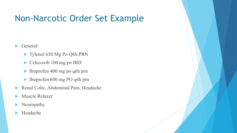#### Non-Narcotic Order Set Example

General:

- ▶ Tylenol 650 Mg Po Q6h PRN
- $\triangleright$  Celecoxib 100 mg po BID
- Ibuprofen 400 mg po q6h prn
- Ibuprofen 600 mg PO q6h prn
- Renal Colic, Abdominal Pain, Headache
- Muscle Relaxer
- Neuropathy
- Headache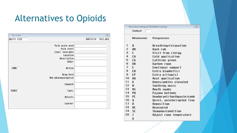### Alternatives to Opioids

| Pain Control        | $\Sigma\!$         |
|---------------------|--------------------|
| 02/11 1129          | 00015214 TEST, 0B3 |
| Pain scale used     |                    |
| Pain level          |                    |
|                     |                    |
| Level tolerable     |                    |
| Location            |                    |
| Description         |                    |
| Other               |                    |
| CARE<br>Action      |                    |
| Drug Used           |                    |
| Non-pharmacological |                    |
| Comment             |                    |
| TEACH<br>Topic      |                    |
| Details             |                    |
| Learner             |                    |

|                | Non-pharmalogical Modalities Lookup | $\Sigma$                  |  |
|----------------|-------------------------------------|---------------------------|--|
|                | Select                              |                           |  |
|                | Mnemonic                            | Responses                 |  |
| 1              | B                                   | Breathing/relaxation      |  |
| $\overline{c}$ | <b>BR</b>                           | <b>Back rub</b>           |  |
| 3              | $\mathbb{C}$                        | Visit from clergy         |  |
| 4              | CA                                  | Cold application          |  |
| 5              | <b>CG</b>                           | Caffeine given            |  |
| 6              | <b>DR</b>                           | Darken room               |  |
| 7              | E                                   | Emotional support         |  |
| 8              | EB                                  | Extra blanket(s)          |  |
| 9              | EP                                  | Extra pillow(s)           |  |
| 10             | HA                                  | Heat application          |  |
| 11             | K                                   | Knees/ankles elevated     |  |
| 12 M           |                                     | Soothing music            |  |
| 13 MS          |                                     | Mouth swabs               |  |
| 14 PB          |                                     | Pajama bottoms            |  |
| 15 PC          |                                     | Deodorant/toothpaste/comb |  |
| 16             | Q                                   | Quiet, uninterrupted time |  |
| 17             | $\mathbf R$                         | Reposition                |  |
| 18             | <b>RE</b>                           | Reassured                 |  |
| 19 SC          |                                     | Shampoo/condition         |  |
| 20             | T                                   | Adjust room temperature   |  |
|                |                                     |                           |  |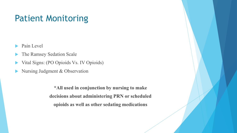#### Patient Monitoring

- Pain Level
- The Ramsey Sedation Scale
- Vital Signs: (PO Opioids Vs. IV Opioids)
- Nursing Judgment & Observation

**\*All used in conjunction by nursing to make decisions about administering PRN or scheduled opioids as well as other sedating medications**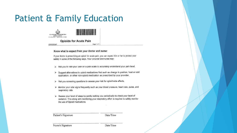#### Patient & Family Education



#### **Opioids for Acute Pain**

OPIOIDAP

#### Know what to expect from your doctor and nurse:

if your doctor is prescribing an opioid for acute pain, you can expect him or her to protect your safety in some of the following ways. Your provider and nurse may:

Page 1 of

- > Ask you to rate your pain on a pain scale to accurately understand your pain level,
- > Suggest alternatives to opioid medications first such as change in position, heat or cold application, or other non-opioid medication as prescribed by your provider.
- $\triangleright$  Ask you screening questions to assess your risk for opioid side effects.
- > Monitor your vital signs frequently such as your blood pressure, heart rate, pulse, and respiratory rate.
- > Assess your level of sleep by gently waking you periodically to check your level of sedation. This along with monitoring your respiratory effort is required to safely monitor the use of Opioid medications.

Patient's Signature

Date/Time

Nurse's Signature

Date/Time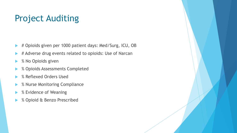### Project Auditing

- ▶ # Opioids given per 1000 patient days: Med/Surg, ICU, OB
- # Adverse drug events related to opioids: Use of Narcan
- % No Opioids given
- % Opioids Assessments Completed
- % Reflexed Orders Used
- ▶ % Nurse Monitoring Compliance
- % Evidence of Weaning
- % Opioid & Benzo Prescribed